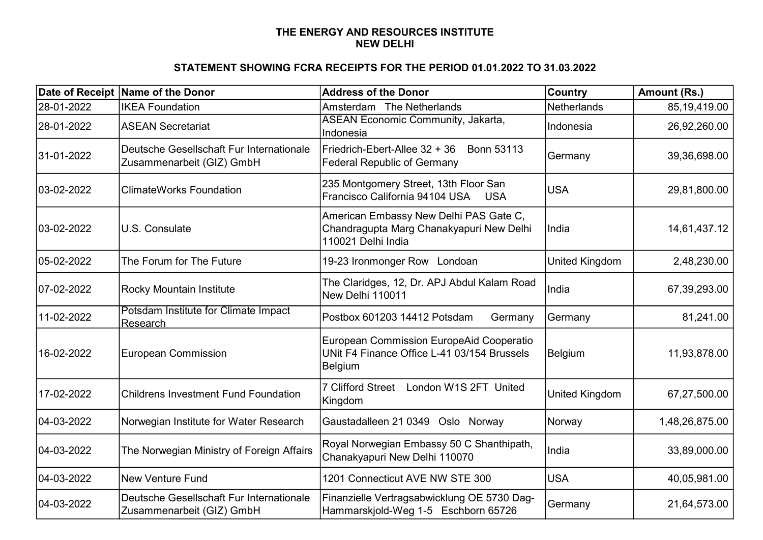## NEW DELHI THE ENERGY AND RESOURCES INSTITUTE

## STATEMENT SHOWING FCRA RECEIPTS FOR THE PERIOD 01.01.2022 TO 31.03.2022

|             | Date of Receipt Name of the Donor                                     | <b>Address of the Donor</b>                                                                               | Country        | Amount (Rs.)   |
|-------------|-----------------------------------------------------------------------|-----------------------------------------------------------------------------------------------------------|----------------|----------------|
| 28-01-2022  | <b>IKEA Foundation</b>                                                | Amsterdam The Netherlands                                                                                 | Netherlands    | 85,19,419.00   |
| 28-01-2022  | <b>ASEAN Secretariat</b>                                              | <b>ASEAN Economic Community, Jakarta,</b><br>Indonesia                                                    | Indonesia      | 26,92,260.00   |
| 31-01-2022  | Deutsche Gesellschaft Fur Internationale<br>Zusammenarbeit (GIZ) GmbH | Friedrich-Ebert-Allee 32 + 36<br><b>Bonn 53113</b><br><b>Federal Republic of Germany</b>                  | Germany        | 39,36,698.00   |
| 103-02-2022 | <b>ClimateWorks Foundation</b>                                        | 235 Montgomery Street, 13th Floor San<br>Francisco California 94104 USA USA                               | <b>USA</b>     | 29,81,800.00   |
| 03-02-2022  | U.S. Consulate                                                        | American Embassy New Delhi PAS Gate C,<br>Chandragupta Marg Chanakyapuri New Delhi<br>110021 Delhi India  | India          | 14,61,437.12   |
| 05-02-2022  | The Forum for The Future                                              | 19-23 Ironmonger Row Londoan                                                                              | United Kingdom | 2,48,230.00    |
| 07-02-2022  | Rocky Mountain Institute                                              | The Claridges, 12, Dr. APJ Abdul Kalam Road<br>New Delhi 110011                                           | India          | 67,39,293.00   |
| 11-02-2022  | Potsdam Institute for Climate Impact<br>Research                      | Postbox 601203 14412 Potsdam<br>Germany                                                                   | Germany        | 81,241.00      |
| 16-02-2022  | <b>European Commission</b>                                            | <b>European Commission EuropeAid Cooperatio</b><br>UNit F4 Finance Office L-41 03/154 Brussels<br>Belgium | <b>Belgium</b> | 11,93,878.00   |
| 17-02-2022  | <b>Childrens Investment Fund Foundation</b>                           | <b>7 Clifford Street</b><br>London W1S 2FT United<br>Kingdom                                              | United Kingdom | 67,27,500.00   |
| 04-03-2022  | Norwegian Institute for Water Research                                | Gaustadalleen 21 0349 Oslo Norway                                                                         | Norway         | 1,48,26,875.00 |
| 04-03-2022  | The Norwegian Ministry of Foreign Affairs                             | Royal Norwegian Embassy 50 C Shanthipath,<br>Chanakyapuri New Delhi 110070                                | India          | 33,89,000.00   |
| 04-03-2022  | <b>New Venture Fund</b>                                               | 1201 Connecticut AVE NW STE 300                                                                           | <b>USA</b>     | 40,05,981.00   |
| 04-03-2022  | Deutsche Gesellschaft Fur Internationale<br>Zusammenarbeit (GIZ) GmbH | Finanzielle Vertragsabwicklung OE 5730 Dag-<br>Hammarskjold-Weg 1-5 Eschborn 65726                        | Germany        | 21,64,573.00   |